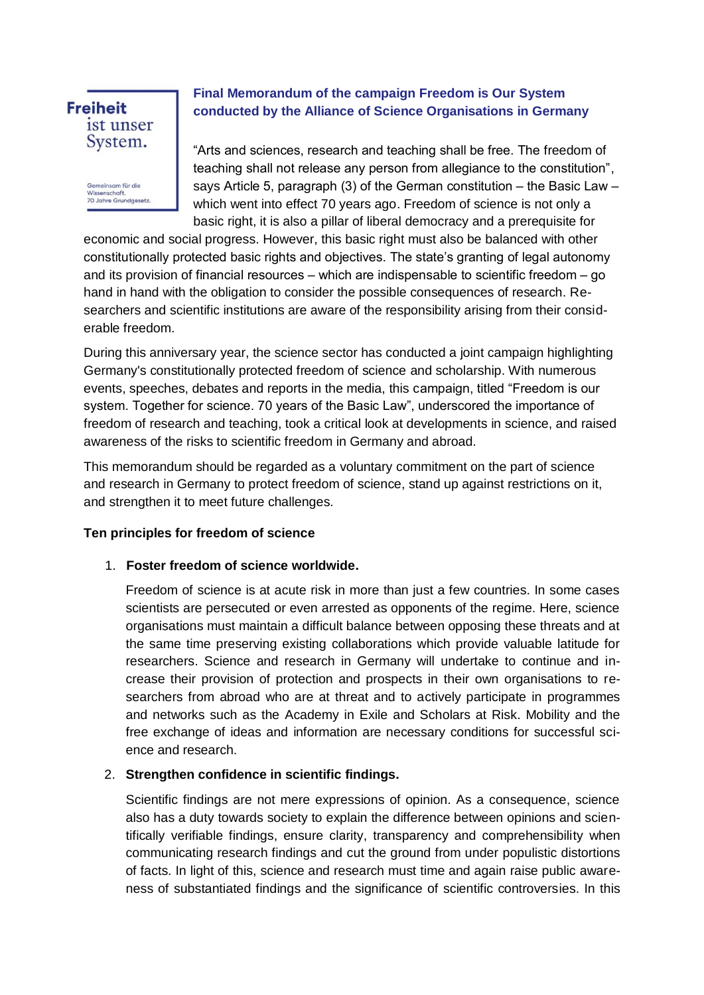# **Freiheit** ist unser System.

Gemeinsam für die Wissenschaft 70 Jahre Grundgesetz

# **Final Memorandum of the campaign Freedom is Our System conducted by the Alliance of Science Organisations in Germany**

"Arts and sciences, research and teaching shall be free. The freedom of teaching shall not release any person from allegiance to the constitution", says Article 5, paragraph (3) of the German constitution  $-$  the Basic Law  $$ which went into effect 70 years ago. Freedom of science is not only a basic right, it is also a pillar of liberal democracy and a prerequisite for

economic and social progress. However, this basic right must also be balanced with other constitutionally protected basic rights and objectives. The state's granting of legal autonomy and its provision of financial resources  $-$  which are indispensable to scientific freedom  $-$  go hand in hand with the obligation to consider the possible consequences of research. Researchers and scientific institutions are aware of the responsibility arising from their considerable freedom.

During this anniversary year, the science sector has conducted a joint campaign highlighting Germany's constitutionally protected freedom of science and scholarship. With numerous events, speeches, debates and reports in the media, this campaign, titled "Freedom is our system. Together for science. 70 years of the Basic Law", underscored the importance of freedom of research and teaching, took a critical look at developments in science, and raised awareness of the risks to scientific freedom in Germany and abroad.

This memorandum should be regarded as a voluntary commitment on the part of science and research in Germany to protect freedom of science, stand up against restrictions on it, and strengthen it to meet future challenges.

#### **Ten principles for freedom of science**

## 1. **Foster freedom of science worldwide.**

Freedom of science is at acute risk in more than just a few countries. In some cases scientists are persecuted or even arrested as opponents of the regime. Here, science organisations must maintain a difficult balance between opposing these threats and at the same time preserving existing collaborations which provide valuable latitude for researchers. Science and research in Germany will undertake to continue and increase their provision of protection and prospects in their own organisations to researchers from abroad who are at threat and to actively participate in programmes and networks such as the Academy in Exile and Scholars at Risk. Mobility and the free exchange of ideas and information are necessary conditions for successful science and research.

## 2. **Strengthen confidence in scientific findings.**

Scientific findings are not mere expressions of opinion. As a consequence, science also has a duty towards society to explain the difference between opinions and scientifically verifiable findings, ensure clarity, transparency and comprehensibility when communicating research findings and cut the ground from under populistic distortions of facts. In light of this, science and research must time and again raise public awareness of substantiated findings and the significance of scientific controversies. In this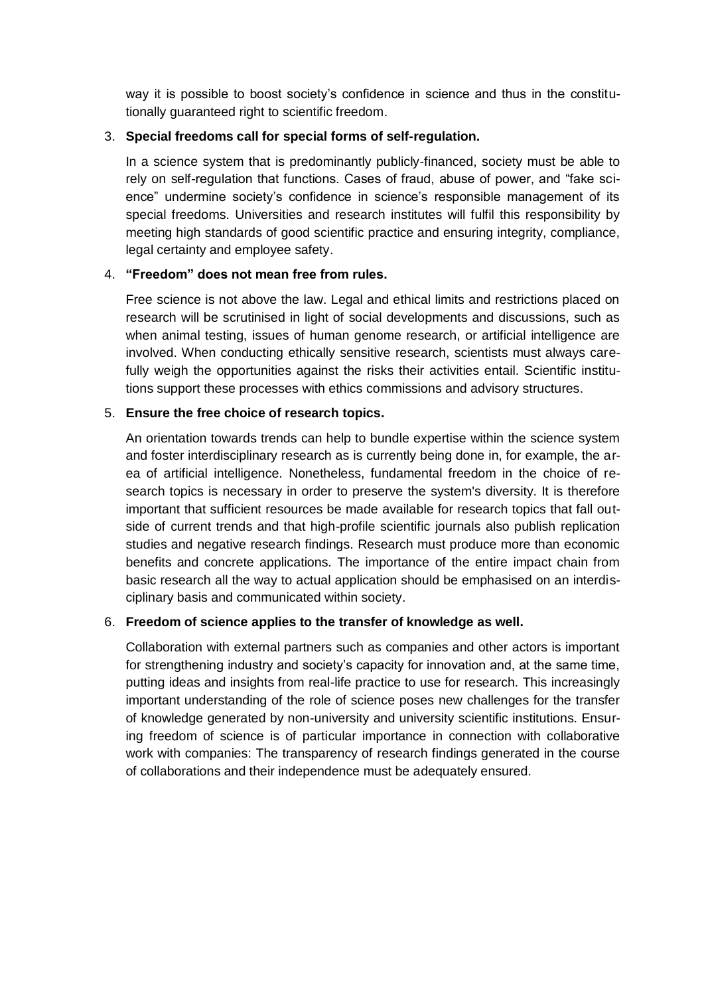way it is possible to boost society's confidence in science and thus in the constitutionally guaranteed right to scientific freedom.

## 3. **Special freedoms call for special forms of self-regulation.**

In a science system that is predominantly publicly-financed, society must be able to rely on self-regulation that functions. Cases of fraud, abuse of power, and "fake science" undermine society's confidence in science's responsible management of its special freedoms. Universities and research institutes will fulfil this responsibility by meeting high standards of good scientific practice and ensuring integrity, compliance, legal certainty and employee safety.

## 4. **"Freedom" does not mean free from rules.**

Free science is not above the law. Legal and ethical limits and restrictions placed on research will be scrutinised in light of social developments and discussions, such as when animal testing, issues of human genome research, or artificial intelligence are involved. When conducting ethically sensitive research, scientists must always carefully weigh the opportunities against the risks their activities entail. Scientific institutions support these processes with ethics commissions and advisory structures.

## 5. **Ensure the free choice of research topics.**

An orientation towards trends can help to bundle expertise within the science system and foster interdisciplinary research as is currently being done in, for example, the area of artificial intelligence. Nonetheless, fundamental freedom in the choice of research topics is necessary in order to preserve the system's diversity. It is therefore important that sufficient resources be made available for research topics that fall outside of current trends and that high-profile scientific journals also publish replication studies and negative research findings. Research must produce more than economic benefits and concrete applications. The importance of the entire impact chain from basic research all the way to actual application should be emphasised on an interdisciplinary basis and communicated within society.

## 6. **Freedom of science applies to the transfer of knowledge as well.**

Collaboration with external partners such as companies and other actors is important for strengthening industry and society's capacity for innovation and, at the same time, putting ideas and insights from real-life practice to use for research. This increasingly important understanding of the role of science poses new challenges for the transfer of knowledge generated by non-university and university scientific institutions. Ensuring freedom of science is of particular importance in connection with collaborative work with companies: The transparency of research findings generated in the course of collaborations and their independence must be adequately ensured.